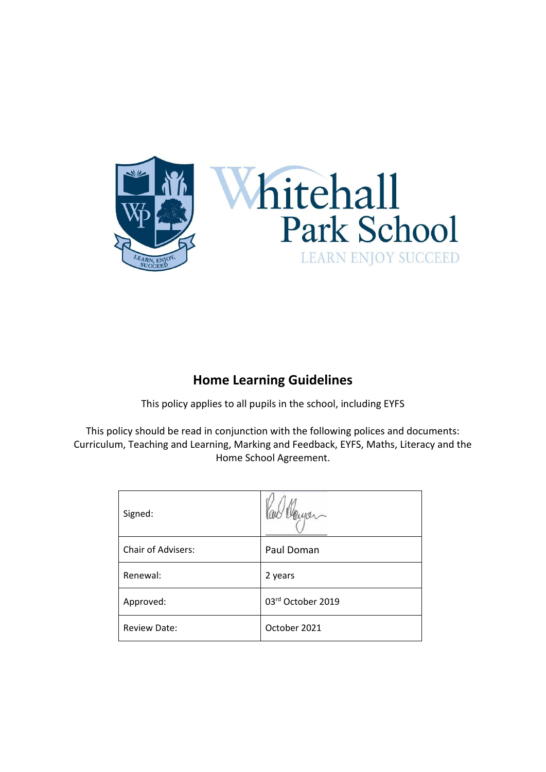

# **Home Learning Guidelines**

This policy applies to all pupils in the school, including EYFS

This policy should be read in conjunction with the following polices and documents: Curriculum, Teaching and Learning, Marking and Feedback, EYFS, Maths, Literacy and the Home School Agreement.

| Signed:             |                   |
|---------------------|-------------------|
| Chair of Advisers:  | Paul Doman        |
| Renewal:            | 2 years           |
| Approved:           | 03rd October 2019 |
| <b>Review Date:</b> | October 2021      |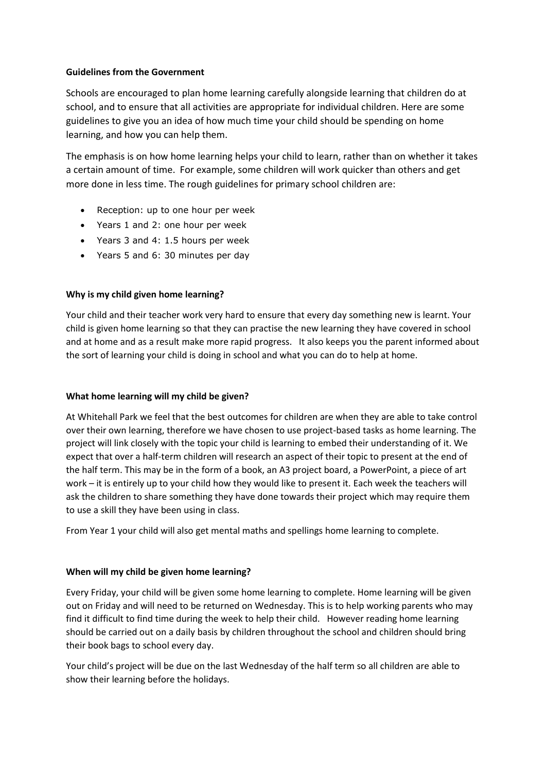# **Guidelines from the Government**

Schools are encouraged to plan home learning carefully alongside learning that children do at school, and to ensure that all activities are appropriate for individual children. Here are some guidelines to give you an idea of how much time your child should be spending on home learning, and how you can help them.

The emphasis is on how home learning helps your child to learn, rather than on whether it takes a certain amount of time. For example, some children will work quicker than others and get more done in less time. The rough guidelines for primary school children are:

- Reception: up to one hour per week
- Years 1 and 2: one hour per week
- Years 3 and 4: 1.5 hours per week
- Years 5 and 6: 30 minutes per day

# **Why is my child given home learning?**

Your child and their teacher work very hard to ensure that every day something new is learnt. Your child is given home learning so that they can practise the new learning they have covered in school and at home and as a result make more rapid progress. It also keeps you the parent informed about the sort of learning your child is doing in school and what you can do to help at home.

## **What home learning will my child be given?**

At Whitehall Park we feel that the best outcomes for children are when they are able to take control over their own learning, therefore we have chosen to use project-based tasks as home learning. The project will link closely with the topic your child is learning to embed their understanding of it. We expect that over a half-term children will research an aspect of their topic to present at the end of the half term. This may be in the form of a book, an A3 project board, a PowerPoint, a piece of art work – it is entirely up to your child how they would like to present it. Each week the teachers will ask the children to share something they have done towards their project which may require them to use a skill they have been using in class.

From Year 1 your child will also get mental maths and spellings home learning to complete.

# **When will my child be given home learning?**

Every Friday, your child will be given some home learning to complete. Home learning will be given out on Friday and will need to be returned on Wednesday. This is to help working parents who may find it difficult to find time during the week to help their child. However reading home learning should be carried out on a daily basis by children throughout the school and children should bring their book bags to school every day.

Your child's project will be due on the last Wednesday of the half term so all children are able to show their learning before the holidays.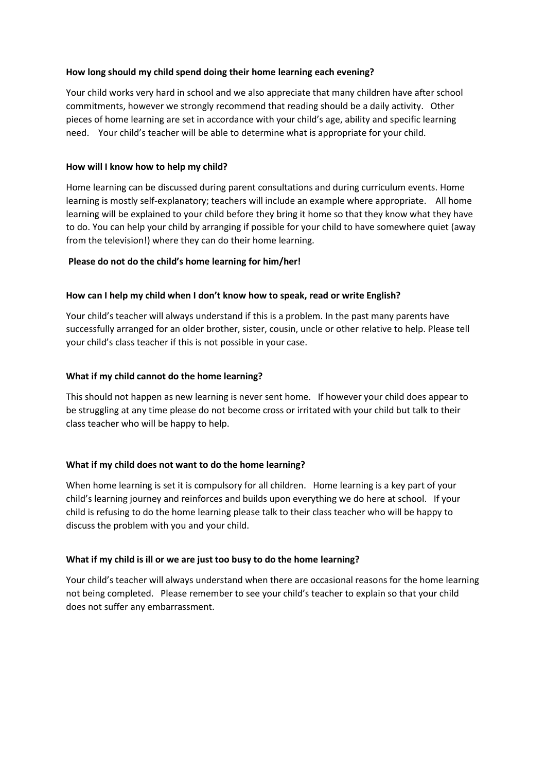# **How long should my child spend doing their home learning each evening?**

Your child works very hard in school and we also appreciate that many children have after school commitments, however we strongly recommend that reading should be a daily activity. Other pieces of home learning are set in accordance with your child's age, ability and specific learning need. Your child's teacher will be able to determine what is appropriate for your child.

# **How will I know how to help my child?**

Home learning can be discussed during parent consultations and during curriculum events. Home learning is mostly self-explanatory; teachers will include an example where appropriate. All home learning will be explained to your child before they bring it home so that they know what they have to do. You can help your child by arranging if possible for your child to have somewhere quiet (away from the television!) where they can do their home learning.

# **Please do not do the child's home learning for him/her!**

# **How can I help my child when I don't know how to speak, read or write English?**

Your child's teacher will always understand if this is a problem. In the past many parents have successfully arranged for an older brother, sister, cousin, uncle or other relative to help. Please tell your child's class teacher if this is not possible in your case.

# **What if my child cannot do the home learning?**

This should not happen as new learning is never sent home. If however your child does appear to be struggling at any time please do not become cross or irritated with your child but talk to their class teacher who will be happy to help.

## **What if my child does not want to do the home learning?**

When home learning is set it is compulsory for all children. Home learning is a key part of your child's learning journey and reinforces and builds upon everything we do here at school. If your child is refusing to do the home learning please talk to their class teacher who will be happy to discuss the problem with you and your child.

## **What if my child is ill or we are just too busy to do the home learning?**

Your child's teacher will always understand when there are occasional reasons for the home learning not being completed. Please remember to see your child's teacher to explain so that your child does not suffer any embarrassment.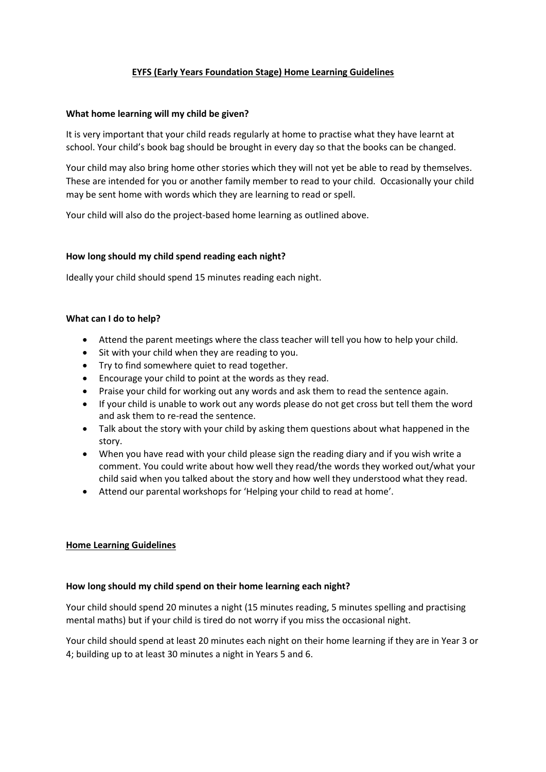# **EYFS (Early Years Foundation Stage) Home Learning Guidelines**

#### **What home learning will my child be given?**

It is very important that your child reads regularly at home to practise what they have learnt at school. Your child's book bag should be brought in every day so that the books can be changed.

Your child may also bring home other stories which they will not yet be able to read by themselves. These are intended for you or another family member to read to your child. Occasionally your child may be sent home with words which they are learning to read or spell.

Your child will also do the project-based home learning as outlined above.

## **How long should my child spend reading each night?**

Ideally your child should spend 15 minutes reading each night.

#### **What can I do to help?**

- Attend the parent meetings where the class teacher will tell you how to help your child.
- Sit with your child when they are reading to you.
- Try to find somewhere quiet to read together.
- Encourage your child to point at the words as they read.
- Praise your child for working out any words and ask them to read the sentence again.
- If your child is unable to work out any words please do not get cross but tell them the word and ask them to re-read the sentence.
- Talk about the story with your child by asking them questions about what happened in the story.
- When you have read with your child please sign the reading diary and if you wish write a comment. You could write about how well they read/the words they worked out/what your child said when you talked about the story and how well they understood what they read.
- Attend our parental workshops for 'Helping your child to read at home'.

## **Home Learning Guidelines**

## **How long should my child spend on their home learning each night?**

Your child should spend 20 minutes a night (15 minutes reading, 5 minutes spelling and practising mental maths) but if your child is tired do not worry if you miss the occasional night.

Your child should spend at least 20 minutes each night on their home learning if they are in Year 3 or 4; building up to at least 30 minutes a night in Years 5 and 6.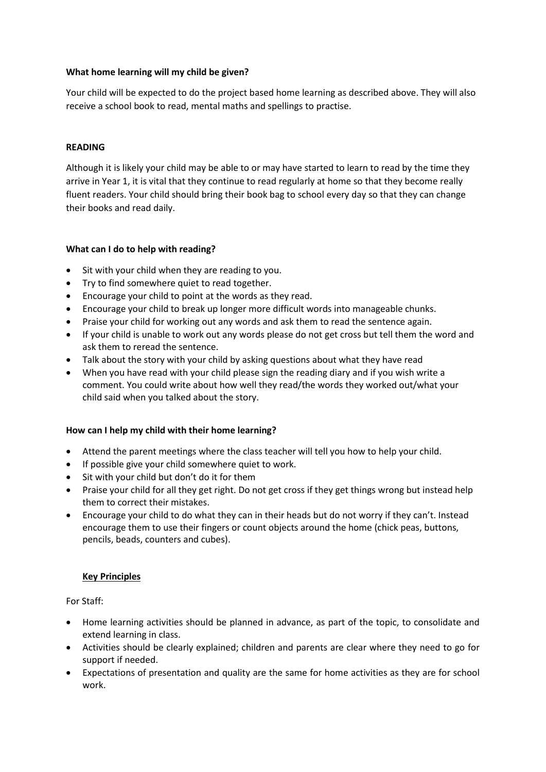# **What home learning will my child be given?**

Your child will be expected to do the project based home learning as described above. They will also receive a school book to read, mental maths and spellings to practise.

# **READING**

Although it is likely your child may be able to or may have started to learn to read by the time they arrive in Year 1, it is vital that they continue to read regularly at home so that they become really fluent readers. Your child should bring their book bag to school every day so that they can change their books and read daily.

# **What can I do to help with reading?**

- Sit with your child when they are reading to you.
- Try to find somewhere quiet to read together.
- Encourage your child to point at the words as they read.
- Encourage your child to break up longer more difficult words into manageable chunks.
- Praise your child for working out any words and ask them to read the sentence again.
- If your child is unable to work out any words please do not get cross but tell them the word and ask them to reread the sentence.
- Talk about the story with your child by asking questions about what they have read
- When you have read with your child please sign the reading diary and if you wish write a comment. You could write about how well they read/the words they worked out/what your child said when you talked about the story.

## **How can I help my child with their home learning?**

- Attend the parent meetings where the class teacher will tell you how to help your child.
- If possible give your child somewhere quiet to work.
- Sit with your child but don't do it for them
- Praise your child for all they get right. Do not get cross if they get things wrong but instead help them to correct their mistakes.
- Encourage your child to do what they can in their heads but do not worry if they can't. Instead encourage them to use their fingers or count objects around the home (chick peas, buttons, pencils, beads, counters and cubes).

## **Key Principles**

For Staff:

- Home learning activities should be planned in advance, as part of the topic, to consolidate and extend learning in class.
- Activities should be clearly explained; children and parents are clear where they need to go for support if needed.
- Expectations of presentation and quality are the same for home activities as they are for school work.